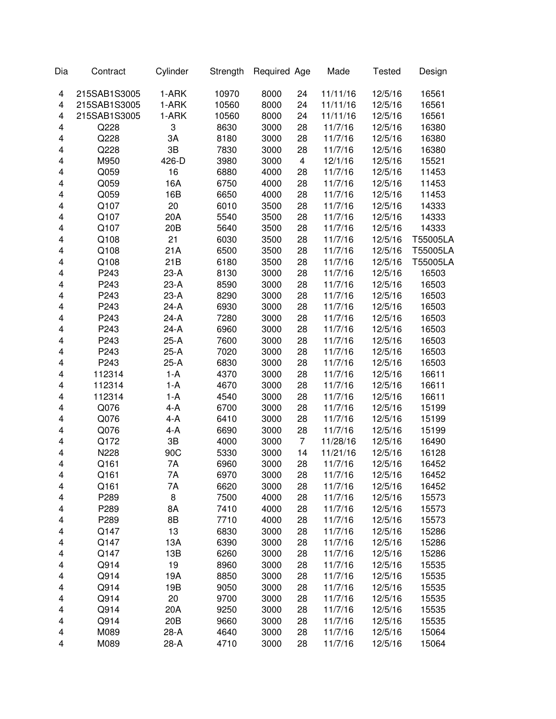| Dia | Contract     | Cylinder        | Strength | Required Age |                         | Made     | <b>Tested</b> | Design   |
|-----|--------------|-----------------|----------|--------------|-------------------------|----------|---------------|----------|
| 4   | 215SAB1S3005 | 1-ARK           | 10970    | 8000         | 24                      | 11/11/16 | 12/5/16       | 16561    |
| 4   | 215SAB1S3005 | 1-ARK           | 10560    | 8000         | 24                      | 11/11/16 | 12/5/16       | 16561    |
| 4   | 215SAB1S3005 | 1-ARK           | 10560    | 8000         | 24                      | 11/11/16 | 12/5/16       | 16561    |
| 4   | Q228         | 3               | 8630     | 3000         | 28                      | 11/7/16  | 12/5/16       | 16380    |
| 4   | Q228         | 3A              | 8180     | 3000         | 28                      | 11/7/16  | 12/5/16       | 16380    |
| 4   | Q228         | 3B              | 7830     | 3000         | 28                      | 11/7/16  | 12/5/16       | 16380    |
| 4   | M950         | 426-D           | 3980     | 3000         | $\overline{\mathbf{4}}$ | 12/1/16  | 12/5/16       | 15521    |
| 4   | Q059         | 16              | 6880     | 4000         | 28                      | 11/7/16  | 12/5/16       | 11453    |
| 4   | Q059         | 16A             | 6750     | 4000         | 28                      | 11/7/16  | 12/5/16       | 11453    |
| 4   | Q059         | 16B             | 6650     | 4000         | 28                      | 11/7/16  | 12/5/16       | 11453    |
| 4   | Q107         | 20              | 6010     | 3500         | 28                      | 11/7/16  | 12/5/16       | 14333    |
| 4   | Q107         | 20A             | 5540     | 3500         | 28                      | 11/7/16  | 12/5/16       | 14333    |
| 4   | Q107         | 20 <sub>B</sub> | 5640     | 3500         | 28                      | 11/7/16  | 12/5/16       | 14333    |
| 4   | Q108         | 21              | 6030     | 3500         | 28                      | 11/7/16  | 12/5/16       | T55005LA |
| 4   | Q108         | 21A             | 6500     | 3500         | 28                      | 11/7/16  | 12/5/16       | T55005LA |
| 4   | Q108         | 21B             | 6180     | 3500         | 28                      | 11/7/16  | 12/5/16       | T55005LA |
| 4   | P243         | $23-A$          | 8130     | 3000         | 28                      | 11/7/16  | 12/5/16       | 16503    |
| 4   | P243         | $23-A$          | 8590     | 3000         | 28                      | 11/7/16  | 12/5/16       | 16503    |
| 4   | P243         | $23-A$          | 8290     | 3000         | 28                      | 11/7/16  | 12/5/16       | 16503    |
| 4   | P243         | $24-A$          | 6930     | 3000         | 28                      | 11/7/16  | 12/5/16       | 16503    |
| 4   | P243         | $24-A$          | 7280     | 3000         | 28                      | 11/7/16  | 12/5/16       | 16503    |
| 4   | P243         | $24-A$          | 6960     | 3000         | 28                      | 11/7/16  | 12/5/16       | 16503    |
| 4   | P243         | $25-A$          | 7600     | 3000         | 28                      | 11/7/16  | 12/5/16       | 16503    |
| 4   | P243         | $25-A$          | 7020     | 3000         | 28                      | 11/7/16  | 12/5/16       | 16503    |
| 4   | P243         | $25-A$          | 6830     | 3000         | 28                      | 11/7/16  | 12/5/16       | 16503    |
| 4   | 112314       | $1-A$           | 4370     | 3000         | 28                      | 11/7/16  | 12/5/16       | 16611    |
| 4   | 112314       | $1-A$           | 4670     | 3000         | 28                      | 11/7/16  | 12/5/16       | 16611    |
| 4   | 112314       | $1-A$           | 4540     | 3000         | 28                      | 11/7/16  | 12/5/16       | 16611    |
| 4   | Q076         | $4-A$           | 6700     | 3000         | 28                      | 11/7/16  | 12/5/16       | 15199    |
| 4   | Q076         | $4 - A$         | 6410     | 3000         | 28                      | 11/7/16  | 12/5/16       | 15199    |
| 4   | Q076         | 4-A             | 6690     | 3000         | 28                      | 11/7/16  | 12/5/16       | 15199    |
| 4   | Q172         | 3B              | 4000     | 3000         | $\overline{7}$          | 11/28/16 | 12/5/16       | 16490    |
| 4   | N228         | 90C             | 5330     | 3000         | 14                      | 11/21/16 | 12/5/16       | 16128    |
| 4   | Q161         | 7A              | 6960     | 3000         | 28                      | 11/7/16  | 12/5/16       | 16452    |
| 4   | Q161         | 7A              | 6970     | 3000         | 28                      | 11/7/16  | 12/5/16       | 16452    |
| 4   | Q161         | 7Α              | 6620     | 3000         | 28                      | 11/7/16  | 12/5/16       | 16452    |
| 4   | P289         | 8               | 7500     | 4000         | 28                      | 11/7/16  | 12/5/16       | 15573    |
| 4   | P289         | 8A              | 7410     | 4000         | 28                      | 11/7/16  | 12/5/16       | 15573    |
| 4   | P289         | 8B              | 7710     | 4000         | 28                      | 11/7/16  | 12/5/16       | 15573    |
| 4   | Q147         | 13              | 6830     | 3000         | 28                      | 11/7/16  | 12/5/16       | 15286    |
| 4   | Q147         | 13A             | 6390     | 3000         | 28                      | 11/7/16  | 12/5/16       | 15286    |
| 4   | Q147         | 13B             | 6260     | 3000         | 28                      | 11/7/16  | 12/5/16       | 15286    |
| 4   | Q914         | 19              | 8960     | 3000         | 28                      | 11/7/16  | 12/5/16       | 15535    |
| 4   | Q914         | 19A             | 8850     | 3000         | 28                      | 11/7/16  | 12/5/16       | 15535    |
| 4   | Q914         | 19B             | 9050     | 3000         | 28                      | 11/7/16  | 12/5/16       | 15535    |
| 4   | Q914         | 20              | 9700     | 3000         | 28                      | 11/7/16  | 12/5/16       | 15535    |
| 4   | Q914         | 20A             | 9250     | 3000         | 28                      | 11/7/16  | 12/5/16       | 15535    |
| 4   | Q914         | 20 <sub>B</sub> | 9660     | 3000         | 28                      | 11/7/16  | 12/5/16       | 15535    |
| 4   | M089         | 28-A            | 4640     | 3000         | 28                      | 11/7/16  | 12/5/16       | 15064    |
| 4   | M089         | $28-A$          | 4710     | 3000         | 28                      | 11/7/16  | 12/5/16       | 15064    |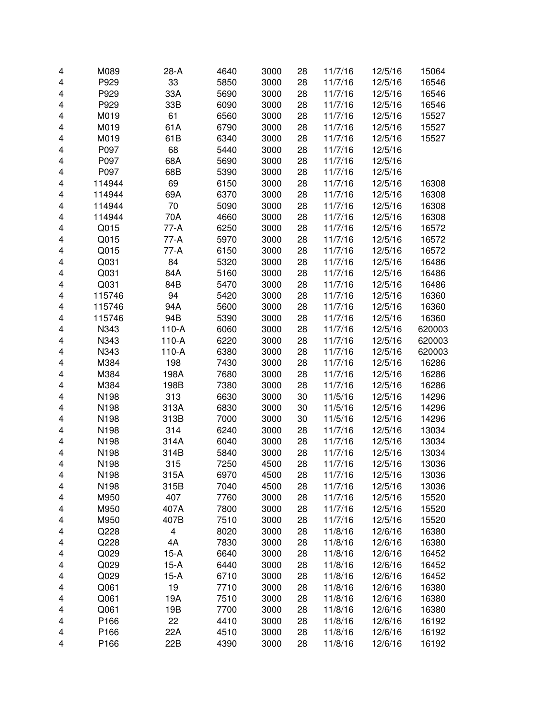| 4 | M089   | $28-A$  | 4640 | 3000 | 28 | 11/7/16 | 12/5/16 | 15064  |
|---|--------|---------|------|------|----|---------|---------|--------|
| 4 | P929   | 33      | 5850 | 3000 | 28 | 11/7/16 | 12/5/16 | 16546  |
| 4 | P929   | 33A     | 5690 | 3000 | 28 | 11/7/16 | 12/5/16 | 16546  |
| 4 | P929   | 33B     | 6090 | 3000 | 28 | 11/7/16 | 12/5/16 | 16546  |
| 4 | M019   | 61      | 6560 | 3000 | 28 | 11/7/16 | 12/5/16 | 15527  |
| 4 | M019   | 61A     | 6790 | 3000 | 28 | 11/7/16 | 12/5/16 | 15527  |
| 4 | M019   | 61B     | 6340 | 3000 | 28 | 11/7/16 | 12/5/16 | 15527  |
| 4 | P097   | 68      | 5440 | 3000 | 28 | 11/7/16 | 12/5/16 |        |
| 4 | P097   | 68A     | 5690 | 3000 | 28 | 11/7/16 | 12/5/16 |        |
| 4 | P097   | 68B     | 5390 | 3000 | 28 | 11/7/16 | 12/5/16 |        |
| 4 | 114944 | 69      | 6150 | 3000 | 28 | 11/7/16 | 12/5/16 | 16308  |
| 4 | 114944 | 69A     | 6370 | 3000 | 28 | 11/7/16 | 12/5/16 | 16308  |
| 4 | 114944 | 70      | 5090 | 3000 | 28 | 11/7/16 | 12/5/16 | 16308  |
| 4 | 114944 | 70A     | 4660 | 3000 | 28 | 11/7/16 | 12/5/16 | 16308  |
| 4 | Q015   | 77-A    | 6250 | 3000 | 28 | 11/7/16 | 12/5/16 | 16572  |
| 4 | Q015   | $77-A$  | 5970 | 3000 | 28 | 11/7/16 | 12/5/16 | 16572  |
| 4 | Q015   | $77-A$  | 6150 | 3000 | 28 | 11/7/16 | 12/5/16 | 16572  |
| 4 | Q031   | 84      | 5320 | 3000 | 28 | 11/7/16 | 12/5/16 | 16486  |
| 4 | Q031   | 84A     | 5160 | 3000 | 28 | 11/7/16 | 12/5/16 | 16486  |
| 4 | Q031   | 84B     | 5470 | 3000 | 28 | 11/7/16 | 12/5/16 | 16486  |
| 4 | 115746 | 94      | 5420 | 3000 | 28 | 11/7/16 | 12/5/16 | 16360  |
| 4 | 115746 | 94A     | 5600 | 3000 | 28 | 11/7/16 | 12/5/16 | 16360  |
| 4 | 115746 | 94B     | 5390 | 3000 | 28 | 11/7/16 | 12/5/16 | 16360  |
| 4 | N343   | $110-A$ | 6060 | 3000 | 28 | 11/7/16 | 12/5/16 | 620003 |
| 4 | N343   | $110-A$ | 6220 | 3000 | 28 | 11/7/16 | 12/5/16 | 620003 |
| 4 | N343   | $110-A$ | 6380 | 3000 | 28 | 11/7/16 | 12/5/16 | 620003 |
|   | M384   | 198     | 7430 | 3000 | 28 |         | 12/5/16 | 16286  |
| 4 | M384   | 198A    | 7680 |      | 28 | 11/7/16 |         |        |
| 4 | M384   | 198B    | 7380 | 3000 | 28 | 11/7/16 | 12/5/16 | 16286  |
| 4 |        |         |      | 3000 |    | 11/7/16 | 12/5/16 | 16286  |
| 4 | N198   | 313     | 6630 | 3000 | 30 | 11/5/16 | 12/5/16 | 14296  |
| 4 | N198   | 313A    | 6830 | 3000 | 30 | 11/5/16 | 12/5/16 | 14296  |
| 4 | N198   | 313B    | 7000 | 3000 | 30 | 11/5/16 | 12/5/16 | 14296  |
| 4 | N198   | 314     | 6240 | 3000 | 28 | 11/7/16 | 12/5/16 | 13034  |
| 4 | N198   | 314A    | 6040 | 3000 | 28 | 11/7/16 | 12/5/16 | 13034  |
| 4 | N198   | 314B    | 5840 | 3000 | 28 | 11/7/16 | 12/5/16 | 13034  |
| 4 | N198   | 315     | 7250 | 4500 | 28 | 11/7/16 | 12/5/16 | 13036  |
| 4 | N198   | 315A    | 6970 | 4500 | 28 | 11/7/16 | 12/5/16 | 13036  |
| 4 | N198   | 315B    | 7040 | 4500 | 28 | 11/7/16 | 12/5/16 | 13036  |
| 4 | M950   | 407     | 7760 | 3000 | 28 | 11/7/16 | 12/5/16 | 15520  |
| 4 | M950   | 407A    | 7800 | 3000 | 28 | 11/7/16 | 12/5/16 | 15520  |
| 4 | M950   | 407B    | 7510 | 3000 | 28 | 11/7/16 | 12/5/16 | 15520  |
| 4 | Q228   | 4       | 8020 | 3000 | 28 | 11/8/16 | 12/6/16 | 16380  |
| 4 | Q228   | 4A      | 7830 | 3000 | 28 | 11/8/16 | 12/6/16 | 16380  |
| 4 | Q029   | $15-A$  | 6640 | 3000 | 28 | 11/8/16 | 12/6/16 | 16452  |
| 4 | Q029   | $15-A$  | 6440 | 3000 | 28 | 11/8/16 | 12/6/16 | 16452  |
| 4 | Q029   | $15-A$  | 6710 | 3000 | 28 | 11/8/16 | 12/6/16 | 16452  |
| 4 | Q061   | 19      | 7710 | 3000 | 28 | 11/8/16 | 12/6/16 | 16380  |
| 4 | Q061   | 19A     | 7510 | 3000 | 28 | 11/8/16 | 12/6/16 | 16380  |
| 4 | Q061   | 19B     | 7700 | 3000 | 28 | 11/8/16 | 12/6/16 | 16380  |
| 4 | P166   | 22      | 4410 | 3000 | 28 | 11/8/16 | 12/6/16 | 16192  |
| 4 | P166   | 22A     | 4510 | 3000 | 28 | 11/8/16 | 12/6/16 | 16192  |
| 4 | P166   | 22B     | 4390 | 3000 | 28 | 11/8/16 | 12/6/16 | 16192  |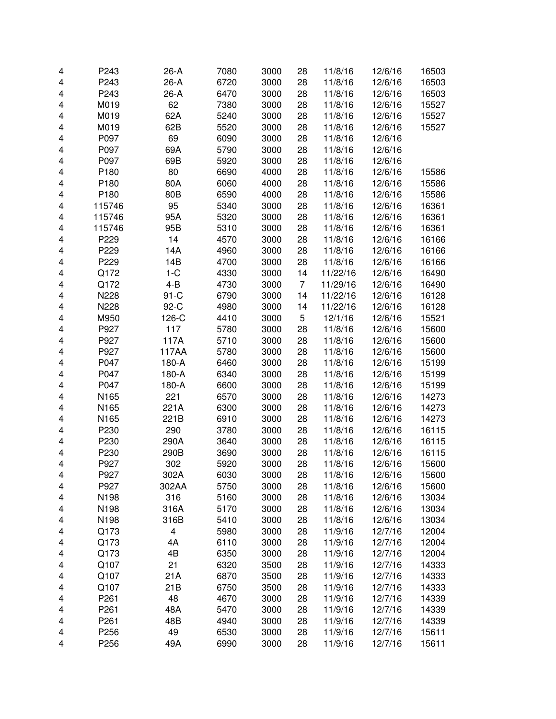| 4 | P243   | $26-A$  | 7080 | 3000 | 28             | 11/8/16  | 12/6/16 | 16503 |
|---|--------|---------|------|------|----------------|----------|---------|-------|
| 4 | P243   | $26-A$  | 6720 | 3000 | 28             | 11/8/16  | 12/6/16 | 16503 |
| 4 | P243   | 26-A    | 6470 | 3000 | 28             | 11/8/16  | 12/6/16 | 16503 |
| 4 | M019   | 62      | 7380 | 3000 | 28             | 11/8/16  | 12/6/16 | 15527 |
| 4 | M019   | 62A     | 5240 | 3000 | 28             | 11/8/16  | 12/6/16 | 15527 |
| 4 | M019   | 62B     | 5520 | 3000 | 28             | 11/8/16  | 12/6/16 | 15527 |
| 4 | P097   | 69      | 6090 | 3000 | 28             | 11/8/16  | 12/6/16 |       |
| 4 | P097   | 69A     | 5790 | 3000 | 28             | 11/8/16  | 12/6/16 |       |
| 4 | P097   | 69B     | 5920 | 3000 | 28             | 11/8/16  | 12/6/16 |       |
| 4 | P180   | 80      | 6690 | 4000 | 28             | 11/8/16  | 12/6/16 | 15586 |
| 4 | P180   | 80A     | 6060 | 4000 | 28             | 11/8/16  | 12/6/16 | 15586 |
| 4 | P180   | 80B     | 6590 | 4000 | 28             | 11/8/16  | 12/6/16 | 15586 |
| 4 | 115746 | 95      | 5340 | 3000 | 28             | 11/8/16  | 12/6/16 | 16361 |
| 4 | 115746 | 95A     | 5320 | 3000 | 28             | 11/8/16  | 12/6/16 | 16361 |
| 4 | 115746 | 95B     | 5310 | 3000 | 28             | 11/8/16  | 12/6/16 | 16361 |
| 4 | P229   | 14      | 4570 | 3000 | 28             | 11/8/16  | 12/6/16 | 16166 |
| 4 | P229   | 14A     | 4960 | 3000 | 28             | 11/8/16  | 12/6/16 | 16166 |
| 4 | P229   | 14B     | 4700 | 3000 | 28             | 11/8/16  | 12/6/16 | 16166 |
| 4 | Q172   | $1-C$   | 4330 | 3000 | 14             | 11/22/16 | 12/6/16 | 16490 |
| 4 | Q172   | $4 - B$ | 4730 | 3000 | $\overline{7}$ | 11/29/16 | 12/6/16 | 16490 |
| 4 | N228   | $91-C$  | 6790 | 3000 | 14             | 11/22/16 | 12/6/16 | 16128 |
| 4 | N228   | 92-C    | 4980 | 3000 | 14             | 11/22/16 | 12/6/16 | 16128 |
| 4 | M950   | 126-C   | 4410 | 3000 | 5              | 12/1/16  | 12/6/16 | 15521 |
| 4 | P927   | 117     | 5780 | 3000 | 28             | 11/8/16  | 12/6/16 | 15600 |
| 4 | P927   | 117A    | 5710 | 3000 | 28             | 11/8/16  | 12/6/16 | 15600 |
| 4 | P927   | 117AA   | 5780 | 3000 | 28             | 11/8/16  | 12/6/16 | 15600 |
| 4 | P047   | 180-A   | 6460 | 3000 | 28             | 11/8/16  | 12/6/16 | 15199 |
| 4 | P047   | 180-A   | 6340 | 3000 | 28             | 11/8/16  | 12/6/16 | 15199 |
| 4 | P047   | 180-A   | 6600 | 3000 | 28             | 11/8/16  | 12/6/16 | 15199 |
| 4 | N165   | 221     | 6570 | 3000 | 28             | 11/8/16  | 12/6/16 | 14273 |
| 4 | N165   | 221A    | 6300 | 3000 | 28             | 11/8/16  | 12/6/16 | 14273 |
| 4 | N165   | 221B    | 6910 | 3000 | 28             | 11/8/16  | 12/6/16 | 14273 |
| 4 | P230   | 290     | 3780 | 3000 | 28             | 11/8/16  | 12/6/16 | 16115 |
| 4 | P230   | 290A    | 3640 | 3000 | 28             | 11/8/16  | 12/6/16 | 16115 |
| 4 | P230   | 290B    | 3690 | 3000 | 28             | 11/8/16  | 12/6/16 | 16115 |
| 4 | P927   | 302     | 5920 | 3000 | 28             | 11/8/16  | 12/6/16 | 15600 |
| 4 | P927   | 302A    | 6030 | 3000 | 28             | 11/8/16  | 12/6/16 | 15600 |
| 4 | P927   | 302AA   | 5750 | 3000 | 28             | 11/8/16  | 12/6/16 | 15600 |
| 4 | N198   | 316     | 5160 | 3000 | 28             | 11/8/16  | 12/6/16 | 13034 |
| 4 | N198   | 316A    | 5170 | 3000 | 28             | 11/8/16  | 12/6/16 | 13034 |
| 4 | N198   | 316B    | 5410 | 3000 | 28             | 11/8/16  | 12/6/16 | 13034 |
| 4 | Q173   | 4       | 5980 | 3000 | 28             | 11/9/16  | 12/7/16 | 12004 |
| 4 | Q173   | 4A      | 6110 | 3000 | 28             | 11/9/16  | 12/7/16 | 12004 |
| 4 | Q173   | 4B      | 6350 | 3000 | 28             | 11/9/16  | 12/7/16 | 12004 |
| 4 | Q107   | 21      | 6320 | 3500 | 28             | 11/9/16  | 12/7/16 | 14333 |
| 4 | Q107   | 21A     | 6870 | 3500 | 28             | 11/9/16  | 12/7/16 | 14333 |
| 4 | Q107   | 21B     | 6750 | 3500 | 28             | 11/9/16  | 12/7/16 | 14333 |
| 4 | P261   | 48      | 4670 | 3000 | 28             | 11/9/16  | 12/7/16 | 14339 |
| 4 | P261   | 48A     | 5470 | 3000 | 28             | 11/9/16  | 12/7/16 | 14339 |
| 4 | P261   | 48B     | 4940 | 3000 | 28             | 11/9/16  | 12/7/16 | 14339 |
| 4 | P256   | 49      | 6530 | 3000 | 28             | 11/9/16  | 12/7/16 | 15611 |
| 4 | P256   | 49A     | 6990 | 3000 | 28             | 11/9/16  | 12/7/16 | 15611 |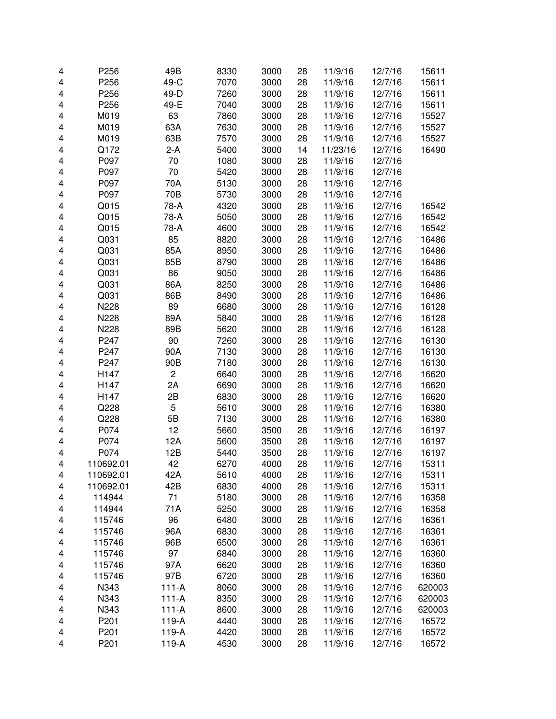| 4 | P256      | 49B            | 8330 | 3000 | 28 | 11/9/16  | 12/7/16 | 15611  |
|---|-----------|----------------|------|------|----|----------|---------|--------|
| 4 | P256      | 49-C           | 7070 | 3000 | 28 | 11/9/16  | 12/7/16 | 15611  |
| 4 | P256      | 49-D           | 7260 | 3000 | 28 | 11/9/16  | 12/7/16 | 15611  |
| 4 | P256      | 49-E           | 7040 | 3000 | 28 | 11/9/16  | 12/7/16 | 15611  |
| 4 | M019      | 63             | 7860 | 3000 | 28 | 11/9/16  | 12/7/16 | 15527  |
| 4 | M019      | 63A            | 7630 | 3000 | 28 | 11/9/16  | 12/7/16 | 15527  |
|   |           |                |      |      |    |          |         |        |
| 4 | M019      | 63B            | 7570 | 3000 | 28 | 11/9/16  | 12/7/16 | 15527  |
| 4 | Q172      | $2-A$          | 5400 | 3000 | 14 | 11/23/16 | 12/7/16 | 16490  |
| 4 | P097      | 70             | 1080 | 3000 | 28 | 11/9/16  | 12/7/16 |        |
| 4 | P097      | 70             | 5420 | 3000 | 28 | 11/9/16  | 12/7/16 |        |
| 4 | P097      | 70A            | 5130 | 3000 | 28 | 11/9/16  | 12/7/16 |        |
| 4 | P097      | 70B            | 5730 | 3000 | 28 | 11/9/16  | 12/7/16 |        |
| 4 | Q015      | 78-A           | 4320 | 3000 | 28 | 11/9/16  | 12/7/16 | 16542  |
| 4 | Q015      | 78-A           | 5050 | 3000 | 28 | 11/9/16  | 12/7/16 | 16542  |
| 4 | Q015      | 78-A           | 4600 | 3000 | 28 | 11/9/16  | 12/7/16 | 16542  |
| 4 | Q031      | 85             | 8820 | 3000 | 28 | 11/9/16  | 12/7/16 | 16486  |
| 4 | Q031      | 85A            | 8950 | 3000 | 28 | 11/9/16  | 12/7/16 | 16486  |
| 4 | Q031      | 85B            | 8790 | 3000 | 28 | 11/9/16  | 12/7/16 | 16486  |
| 4 | Q031      | 86             | 9050 | 3000 | 28 | 11/9/16  | 12/7/16 | 16486  |
| 4 | Q031      | 86A            | 8250 | 3000 | 28 | 11/9/16  | 12/7/16 | 16486  |
| 4 | Q031      | 86B            | 8490 | 3000 | 28 | 11/9/16  | 12/7/16 | 16486  |
| 4 | N228      | 89             | 6680 | 3000 | 28 | 11/9/16  | 12/7/16 | 16128  |
| 4 | N228      | 89A            | 5840 | 3000 | 28 | 11/9/16  | 12/7/16 | 16128  |
| 4 | N228      | 89B            | 5620 | 3000 | 28 | 11/9/16  | 12/7/16 | 16128  |
| 4 | P247      | 90             | 7260 | 3000 | 28 | 11/9/16  | 12/7/16 | 16130  |
| 4 | P247      | 90A            | 7130 | 3000 | 28 | 11/9/16  | 12/7/16 | 16130  |
| 4 | P247      | 90B            | 7180 | 3000 | 28 | 11/9/16  | 12/7/16 | 16130  |
| 4 | H147      | $\overline{c}$ | 6640 | 3000 | 28 | 11/9/16  | 12/7/16 | 16620  |
| 4 | H147      | 2A             | 6690 | 3000 | 28 | 11/9/16  | 12/7/16 | 16620  |
| 4 | H147      | 2B             | 6830 | 3000 | 28 | 11/9/16  | 12/7/16 | 16620  |
| 4 | Q228      | 5              | 5610 | 3000 | 28 | 11/9/16  | 12/7/16 | 16380  |
| 4 | Q228      | 5B             | 7130 | 3000 | 28 | 11/9/16  | 12/7/16 | 16380  |
| 4 | P074      | 12             | 5660 | 3500 | 28 | 11/9/16  | 12/7/16 | 16197  |
| 4 | P074      | 12A            | 5600 | 3500 | 28 | 11/9/16  | 12/7/16 | 16197  |
| 4 | P074      | 12B            | 5440 | 3500 | 28 | 11/9/16  | 12/7/16 | 16197  |
| 4 | 110692.01 | 42             | 6270 | 4000 | 28 | 11/9/16  | 12/7/16 | 15311  |
| 4 | 110692.01 | 42A            | 5610 | 4000 | 28 | 11/9/16  | 12/7/16 | 15311  |
| 4 | 110692.01 | 42B            | 6830 | 4000 | 28 | 11/9/16  | 12/7/16 | 15311  |
| 4 | 114944    | 71             | 5180 | 3000 | 28 | 11/9/16  | 12/7/16 | 16358  |
| 4 | 114944    | 71A            | 5250 | 3000 | 28 | 11/9/16  | 12/7/16 | 16358  |
| 4 | 115746    | 96             | 6480 | 3000 | 28 | 11/9/16  | 12/7/16 | 16361  |
| 4 | 115746    | 96A            | 6830 | 3000 | 28 | 11/9/16  | 12/7/16 | 16361  |
| 4 | 115746    | 96B            | 6500 | 3000 | 28 | 11/9/16  | 12/7/16 | 16361  |
| 4 | 115746    | 97             | 6840 | 3000 | 28 | 11/9/16  | 12/7/16 | 16360  |
| 4 | 115746    | 97A            | 6620 | 3000 | 28 | 11/9/16  | 12/7/16 | 16360  |
|   | 115746    | 97B            | 6720 | 3000 | 28 | 11/9/16  | 12/7/16 | 16360  |
| 4 | N343      | $111-A$        | 8060 | 3000 | 28 | 11/9/16  |         | 620003 |
| 4 |           |                |      |      |    |          | 12/7/16 |        |
| 4 | N343      | $111-A$        | 8350 | 3000 | 28 | 11/9/16  | 12/7/16 | 620003 |
| 4 | N343      | $111-A$        | 8600 | 3000 | 28 | 11/9/16  | 12/7/16 | 620003 |
| 4 | P201      | 119-A          | 4440 | 3000 | 28 | 11/9/16  | 12/7/16 | 16572  |
| 4 | P201      | 119-A          | 4420 | 3000 | 28 | 11/9/16  | 12/7/16 | 16572  |
| 4 | P201      | 119-A          | 4530 | 3000 | 28 | 11/9/16  | 12/7/16 | 16572  |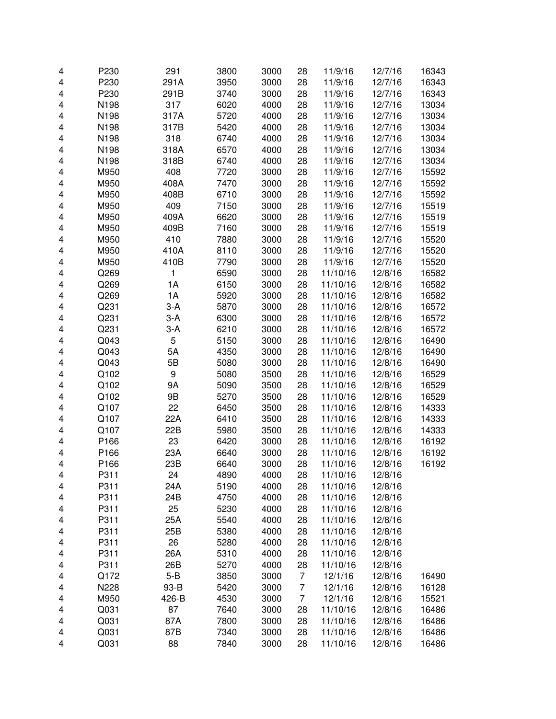| 4 | P230 | 291     | 3800 | 3000 | 28             | 11/9/16  | 12/7/16 | 16343 |
|---|------|---------|------|------|----------------|----------|---------|-------|
| 4 | P230 | 291A    | 3950 | 3000 | 28             | 11/9/16  | 12/7/16 | 16343 |
| 4 | P230 | 291B    | 3740 | 3000 | 28             | 11/9/16  | 12/7/16 | 16343 |
| 4 | N198 | 317     | 6020 | 4000 | 28             | 11/9/16  | 12/7/16 | 13034 |
| 4 | N198 | 317A    | 5720 | 4000 | 28             | 11/9/16  | 12/7/16 | 13034 |
| 4 | N198 | 317B    | 5420 | 4000 | 28             | 11/9/16  | 12/7/16 | 13034 |
|   |      |         | 6740 | 4000 |                |          |         |       |
| 4 | N198 | 318     |      |      | 28             | 11/9/16  | 12/7/16 | 13034 |
| 4 | N198 | 318A    | 6570 | 4000 | 28             | 11/9/16  | 12/7/16 | 13034 |
| 4 | N198 | 318B    | 6740 | 4000 | 28             | 11/9/16  | 12/7/16 | 13034 |
| 4 | M950 | 408     | 7720 | 3000 | 28             | 11/9/16  | 12/7/16 | 15592 |
| 4 | M950 | 408A    | 7470 | 3000 | 28             | 11/9/16  | 12/7/16 | 15592 |
| 4 | M950 | 408B    | 6710 | 3000 | 28             | 11/9/16  | 12/7/16 | 15592 |
| 4 | M950 | 409     | 7150 | 3000 | 28             | 11/9/16  | 12/7/16 | 15519 |
| 4 | M950 | 409A    | 6620 | 3000 | 28             | 11/9/16  | 12/7/16 | 15519 |
| 4 | M950 | 409B    | 7160 | 3000 | 28             | 11/9/16  | 12/7/16 | 15519 |
| 4 | M950 | 410     | 7880 | 3000 | 28             | 11/9/16  | 12/7/16 | 15520 |
| 4 | M950 | 410A    | 8110 | 3000 | 28             | 11/9/16  | 12/7/16 | 15520 |
| 4 | M950 | 410B    | 7790 | 3000 | 28             | 11/9/16  | 12/7/16 | 15520 |
| 4 | Q269 | 1       | 6590 | 3000 | 28             | 11/10/16 | 12/8/16 | 16582 |
| 4 | Q269 | 1A      | 6150 | 3000 | 28             | 11/10/16 | 12/8/16 | 16582 |
| 4 | Q269 | 1A      | 5920 | 3000 | 28             | 11/10/16 | 12/8/16 | 16582 |
| 4 | Q231 | $3-A$   | 5870 | 3000 | 28             | 11/10/16 | 12/8/16 | 16572 |
| 4 | Q231 | $3-A$   | 6300 | 3000 | 28             | 11/10/16 | 12/8/16 | 16572 |
| 4 | Q231 | $3-A$   | 6210 | 3000 | 28             | 11/10/16 | 12/8/16 | 16572 |
|   | Q043 | 5       |      | 3000 |                |          |         |       |
| 4 |      |         | 5150 |      | 28             | 11/10/16 | 12/8/16 | 16490 |
| 4 | Q043 | 5A      | 4350 | 3000 | 28             | 11/10/16 | 12/8/16 | 16490 |
| 4 | Q043 | 5B      | 5080 | 3000 | 28             | 11/10/16 | 12/8/16 | 16490 |
| 4 | Q102 | 9       | 5080 | 3500 | 28             | 11/10/16 | 12/8/16 | 16529 |
| 4 | Q102 | 9Α      | 5090 | 3500 | 28             | 11/10/16 | 12/8/16 | 16529 |
| 4 | Q102 | 9B      | 5270 | 3500 | 28             | 11/10/16 | 12/8/16 | 16529 |
| 4 | Q107 | 22      | 6450 | 3500 | 28             | 11/10/16 | 12/8/16 | 14333 |
| 4 | Q107 | 22A     | 6410 | 3500 | 28             | 11/10/16 | 12/8/16 | 14333 |
| 4 | Q107 | 22B     | 5980 | 3500 | 28             | 11/10/16 | 12/8/16 | 14333 |
| 4 | P166 | 23      | 6420 | 3000 | 28             | 11/10/16 | 12/8/16 | 16192 |
| 4 | P166 | 23A     | 6640 | 3000 | 28             | 11/10/16 | 12/8/16 | 16192 |
| 4 | P166 | 23B     | 6640 | 3000 | 28             | 11/10/16 | 12/8/16 | 16192 |
| 4 | P311 | 24      | 4890 | 4000 | 28             | 11/10/16 | 12/8/16 |       |
| 4 | P311 | 24A     | 5190 | 4000 | 28             | 11/10/16 | 12/8/16 |       |
| 4 | P311 | 24B     | 4750 | 4000 | 28             | 11/10/16 | 12/8/16 |       |
| 4 | P311 | 25      | 5230 | 4000 | 28             | 11/10/16 | 12/8/16 |       |
| 4 | P311 | 25A     | 5540 | 4000 | 28             | 11/10/16 | 12/8/16 |       |
| 4 | P311 | 25B     | 5380 | 4000 | 28             | 11/10/16 | 12/8/16 |       |
| 4 | P311 | 26      | 5280 | 4000 | 28             | 11/10/16 | 12/8/16 |       |
| 4 | P311 | 26A     | 5310 | 4000 | 28             | 11/10/16 | 12/8/16 |       |
| 4 | P311 | 26B     | 5270 | 4000 | 28             | 11/10/16 | 12/8/16 |       |
|   |      | $5 - B$ |      | 3000 | $\overline{7}$ | 12/1/16  |         |       |
| 4 | Q172 |         | 3850 |      |                |          | 12/8/16 | 16490 |
| 4 | N228 | 93-B    | 5420 | 3000 | 7              | 12/1/16  | 12/8/16 | 16128 |
| 4 | M950 | 426-B   | 4530 | 3000 | 7              | 12/1/16  | 12/8/16 | 15521 |
| 4 | Q031 | 87      | 7640 | 3000 | 28             | 11/10/16 | 12/8/16 | 16486 |
| 4 | Q031 | 87A     | 7800 | 3000 | 28             | 11/10/16 | 12/8/16 | 16486 |
| 4 | Q031 | 87B     | 7340 | 3000 | 28             | 11/10/16 | 12/8/16 | 16486 |
| 4 | Q031 | 88      | 7840 | 3000 | 28             | 11/10/16 | 12/8/16 | 16486 |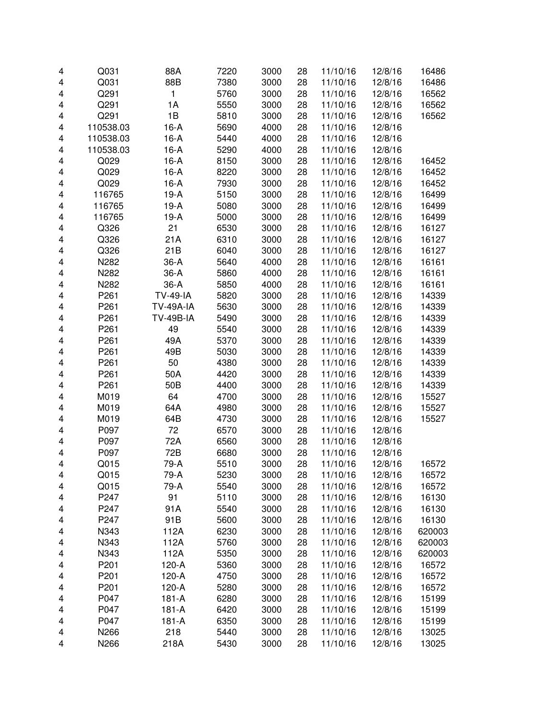| 4 | Q031             | 88A              | 7220 | 3000 | 28 | 11/10/16 | 12/8/16 | 16486  |
|---|------------------|------------------|------|------|----|----------|---------|--------|
| 4 | Q031             | 88B              | 7380 | 3000 | 28 | 11/10/16 | 12/8/16 | 16486  |
| 4 | Q291             | 1                | 5760 | 3000 | 28 | 11/10/16 | 12/8/16 | 16562  |
|   | Q291             | 1A               |      |      |    |          |         |        |
| 4 |                  |                  | 5550 | 3000 | 28 | 11/10/16 | 12/8/16 | 16562  |
| 4 | Q291             | 1B               | 5810 | 3000 | 28 | 11/10/16 | 12/8/16 | 16562  |
| 4 | 110538.03        | $16-A$           | 5690 | 4000 | 28 | 11/10/16 | 12/8/16 |        |
| 4 | 110538.03        | $16-A$           | 5440 | 4000 | 28 | 11/10/16 | 12/8/16 |        |
| 4 | 110538.03        | $16-A$           | 5290 | 4000 | 28 | 11/10/16 | 12/8/16 |        |
| 4 | Q029             | $16-A$           | 8150 | 3000 | 28 | 11/10/16 | 12/8/16 | 16452  |
| 4 | Q029             | $16-A$           | 8220 | 3000 | 28 | 11/10/16 | 12/8/16 | 16452  |
| 4 | Q029             | $16-A$           | 7930 | 3000 | 28 | 11/10/16 | 12/8/16 | 16452  |
| 4 | 116765           | $19-A$           | 5150 | 3000 | 28 | 11/10/16 | 12/8/16 | 16499  |
| 4 | 116765           | $19-A$           | 5080 | 3000 | 28 | 11/10/16 | 12/8/16 | 16499  |
| 4 | 116765           | $19-A$           | 5000 | 3000 | 28 | 11/10/16 | 12/8/16 | 16499  |
| 4 | Q326             | 21               | 6530 | 3000 | 28 | 11/10/16 | 12/8/16 | 16127  |
| 4 | Q326             | 21A              | 6310 | 3000 | 28 | 11/10/16 | 12/8/16 | 16127  |
| 4 | Q326             | 21B              | 6040 | 3000 | 28 | 11/10/16 | 12/8/16 | 16127  |
| 4 | N282             | $36-A$           | 5640 | 4000 | 28 | 11/10/16 | 12/8/16 | 16161  |
| 4 | N282             | $36-A$           | 5860 | 4000 | 28 | 11/10/16 | 12/8/16 | 16161  |
| 4 | N282             | $36-A$           | 5850 | 4000 | 28 | 11/10/16 | 12/8/16 | 16161  |
| 4 | P261             | <b>TV-49-IA</b>  | 5820 | 3000 | 28 | 11/10/16 | 12/8/16 | 14339  |
| 4 | P261             | <b>TV-49A-IA</b> | 5630 | 3000 | 28 | 11/10/16 | 12/8/16 | 14339  |
| 4 | P261             | <b>TV-49B-IA</b> | 5490 | 3000 | 28 | 11/10/16 | 12/8/16 | 14339  |
| 4 | P261             | 49               | 5540 | 3000 | 28 | 11/10/16 | 12/8/16 | 14339  |
| 4 | P <sub>261</sub> | 49A              | 5370 | 3000 | 28 | 11/10/16 | 12/8/16 | 14339  |
| 4 | P261             | 49B              | 5030 | 3000 | 28 | 11/10/16 | 12/8/16 | 14339  |
| 4 | P261             | 50               | 4380 | 3000 | 28 | 11/10/16 | 12/8/16 | 14339  |
| 4 | P261             | 50A              | 4420 | 3000 | 28 | 11/10/16 | 12/8/16 | 14339  |
| 4 | P261             | 50B              | 4400 | 3000 | 28 | 11/10/16 | 12/8/16 | 14339  |
| 4 | M019             | 64               | 4700 | 3000 | 28 | 11/10/16 | 12/8/16 | 15527  |
| 4 | M019             | 64A              | 4980 | 3000 | 28 | 11/10/16 | 12/8/16 | 15527  |
| 4 | M019             | 64B              | 4730 | 3000 | 28 | 11/10/16 | 12/8/16 | 15527  |
| 4 | P097             | 72               | 6570 | 3000 | 28 | 11/10/16 | 12/8/16 |        |
| 4 | P097             | 72A              | 6560 | 3000 | 28 | 11/10/16 | 12/8/16 |        |
| 4 | P097             | 72B              | 6680 | 3000 | 28 | 11/10/16 | 12/8/16 |        |
| 4 | Q015             | 79-A             | 5510 | 3000 | 28 | 11/10/16 | 12/8/16 | 16572  |
| 4 | Q015             | 79-A             | 5230 | 3000 | 28 | 11/10/16 | 12/8/16 | 16572  |
| 4 | Q015             | 79-A             | 5540 | 3000 | 28 | 11/10/16 | 12/8/16 | 16572  |
| 4 | P247             | 91               | 5110 | 3000 | 28 | 11/10/16 | 12/8/16 | 16130  |
| 4 | P247             | 91A              | 5540 | 3000 | 28 | 11/10/16 | 12/8/16 | 16130  |
| 4 | P247             | 91B              | 5600 | 3000 | 28 | 11/10/16 | 12/8/16 | 16130  |
| 4 | N343             | 112A             | 6230 | 3000 | 28 | 11/10/16 | 12/8/16 | 620003 |
| 4 | N343             | 112A             | 5760 | 3000 | 28 | 11/10/16 | 12/8/16 | 620003 |
| 4 | N343             | 112A             | 5350 | 3000 | 28 | 11/10/16 | 12/8/16 | 620003 |
|   | P201             | 120-A            | 5360 | 3000 | 28 | 11/10/16 | 12/8/16 |        |
| 4 | P201             |                  | 4750 |      | 28 |          |         | 16572  |
| 4 |                  | 120-A            |      | 3000 |    | 11/10/16 | 12/8/16 | 16572  |
| 4 | P201             | 120-A            | 5280 | 3000 | 28 | 11/10/16 | 12/8/16 | 16572  |
| 4 | P047             | $181 - A$        | 6280 | 3000 | 28 | 11/10/16 | 12/8/16 | 15199  |
| 4 | P047             | $181 - A$        | 6420 | 3000 | 28 | 11/10/16 | 12/8/16 | 15199  |
| 4 | P047             | 181-A            | 6350 | 3000 | 28 | 11/10/16 | 12/8/16 | 15199  |
| 4 | N266             | 218              | 5440 | 3000 | 28 | 11/10/16 | 12/8/16 | 13025  |
| 4 | N266             | 218A             | 5430 | 3000 | 28 | 11/10/16 | 12/8/16 | 13025  |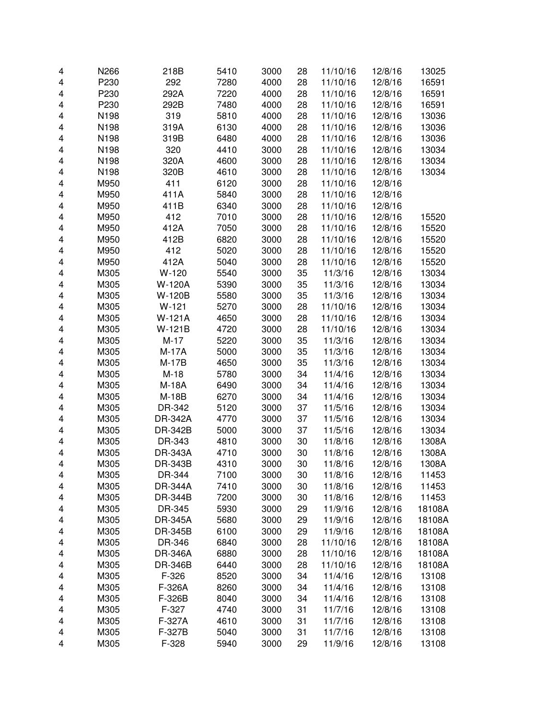| 4                       | N266 | 218B           | 5410 | 3000 | 28 | 11/10/16 | 12/8/16 | 13025  |
|-------------------------|------|----------------|------|------|----|----------|---------|--------|
| 4                       | P230 | 292            | 7280 | 4000 | 28 | 11/10/16 | 12/8/16 | 16591  |
| 4                       | P230 | 292A           | 7220 | 4000 | 28 | 11/10/16 | 12/8/16 | 16591  |
| 4                       | P230 | 292B           | 7480 | 4000 | 28 | 11/10/16 | 12/8/16 | 16591  |
| 4                       | N198 | 319            | 5810 | 4000 | 28 | 11/10/16 | 12/8/16 | 13036  |
| 4                       | N198 | 319A           | 6130 | 4000 | 28 | 11/10/16 | 12/8/16 | 13036  |
| 4                       | N198 | 319B           | 6480 | 4000 | 28 | 11/10/16 | 12/8/16 | 13036  |
| 4                       | N198 | 320            | 4410 | 3000 | 28 | 11/10/16 | 12/8/16 | 13034  |
| 4                       | N198 | 320A           | 4600 | 3000 | 28 | 11/10/16 | 12/8/16 | 13034  |
| 4                       | N198 | 320B           | 4610 | 3000 | 28 | 11/10/16 | 12/8/16 | 13034  |
| 4                       | M950 | 411            | 6120 | 3000 | 28 | 11/10/16 | 12/8/16 |        |
| 4                       | M950 | 411A           | 5840 | 3000 | 28 | 11/10/16 | 12/8/16 |        |
| 4                       | M950 | 411B           | 6340 | 3000 | 28 | 11/10/16 | 12/8/16 |        |
| $\overline{\mathbf{4}}$ | M950 | 412            | 7010 | 3000 | 28 | 11/10/16 | 12/8/16 | 15520  |
| $\overline{\mathbf{4}}$ | M950 | 412A           | 7050 | 3000 | 28 | 11/10/16 | 12/8/16 | 15520  |
| 4                       | M950 | 412B           | 6820 | 3000 | 28 | 11/10/16 | 12/8/16 | 15520  |
| 4                       | M950 | 412            | 5020 | 3000 | 28 | 11/10/16 | 12/8/16 | 15520  |
| 4                       | M950 | 412A           | 5040 | 3000 | 28 | 11/10/16 | 12/8/16 | 15520  |
| 4                       | M305 | $W-120$        | 5540 | 3000 | 35 | 11/3/16  | 12/8/16 | 13034  |
| 4                       | M305 | <b>W-120A</b>  | 5390 | 3000 | 35 | 11/3/16  | 12/8/16 | 13034  |
| 4                       | M305 | W-120B         | 5580 | 3000 | 35 | 11/3/16  | 12/8/16 | 13034  |
| 4                       | M305 | $W-121$        | 5270 | 3000 | 28 | 11/10/16 | 12/8/16 | 13034  |
| 4                       | M305 | W-121A         | 4650 | 3000 | 28 | 11/10/16 | 12/8/16 | 13034  |
| 4                       | M305 | W-121B         | 4720 | 3000 | 28 | 11/10/16 | 12/8/16 | 13034  |
| 4                       | M305 | $M-17$         | 5220 | 3000 | 35 | 11/3/16  | 12/8/16 | 13034  |
| 4                       | M305 | M-17A          | 5000 | 3000 | 35 | 11/3/16  | 12/8/16 | 13034  |
| 4                       | M305 | $M-17B$        | 4650 | 3000 | 35 | 11/3/16  | 12/8/16 | 13034  |
| 4                       | M305 | $M-18$         | 5780 | 3000 | 34 | 11/4/16  | 12/8/16 | 13034  |
| 4                       | M305 | M-18A          | 6490 | 3000 | 34 | 11/4/16  | 12/8/16 | 13034  |
| 4                       | M305 | M-18B          | 6270 | 3000 | 34 | 11/4/16  | 12/8/16 | 13034  |
| $\overline{\mathbf{4}}$ | M305 | DR-342         | 5120 | 3000 | 37 | 11/5/16  | 12/8/16 | 13034  |
| $\overline{\mathbf{4}}$ | M305 | <b>DR-342A</b> | 4770 | 3000 | 37 | 11/5/16  | 12/8/16 | 13034  |
| 4                       | M305 | DR-342B        | 5000 | 3000 | 37 | 11/5/16  | 12/8/16 | 13034  |
| 4                       | M305 | DR-343         | 4810 | 3000 | 30 | 11/8/16  | 12/8/16 | 1308A  |
| 4                       | M305 | <b>DR-343A</b> | 4710 | 3000 | 30 | 11/8/16  | 12/8/16 | 1308A  |
| 4                       | M305 | DR-343B        | 4310 | 3000 | 30 | 11/8/16  | 12/8/16 | 1308A  |
| 4                       | M305 | DR-344         | 7100 | 3000 | 30 | 11/8/16  | 12/8/16 | 11453  |
| 4                       | M305 | <b>DR-344A</b> | 7410 | 3000 | 30 | 11/8/16  | 12/8/16 | 11453  |
| 4                       | M305 | <b>DR-344B</b> | 7200 | 3000 | 30 | 11/8/16  | 12/8/16 | 11453  |
| 4                       | M305 | DR-345         | 5930 | 3000 | 29 | 11/9/16  | 12/8/16 | 18108A |
| 4                       | M305 | <b>DR-345A</b> | 5680 | 3000 | 29 | 11/9/16  | 12/8/16 | 18108A |
| 4                       | M305 | DR-345B        | 6100 | 3000 | 29 | 11/9/16  | 12/8/16 | 18108A |
| 4                       | M305 | DR-346         | 6840 | 3000 | 28 | 11/10/16 | 12/8/16 | 18108A |
| 4                       | M305 | <b>DR-346A</b> | 6880 | 3000 | 28 | 11/10/16 | 12/8/16 | 18108A |
| 4                       | M305 | <b>DR-346B</b> | 6440 | 3000 | 28 | 11/10/16 | 12/8/16 | 18108A |
| 4                       | M305 | F-326          | 8520 | 3000 | 34 | 11/4/16  | 12/8/16 | 13108  |
| 4                       | M305 | F-326A         | 8260 | 3000 | 34 | 11/4/16  | 12/8/16 | 13108  |
| 4                       | M305 | F-326B         | 8040 | 3000 | 34 | 11/4/16  | 12/8/16 | 13108  |
| 4                       | M305 | F-327          | 4740 | 3000 | 31 | 11/7/16  | 12/8/16 | 13108  |
| 4                       | M305 | F-327A         | 4610 | 3000 | 31 | 11/7/16  | 12/8/16 | 13108  |
| 4                       | M305 | F-327B         | 5040 | 3000 | 31 | 11/7/16  | 12/8/16 | 13108  |
| 4                       | M305 | F-328          | 5940 | 3000 | 29 | 11/9/16  | 12/8/16 | 13108  |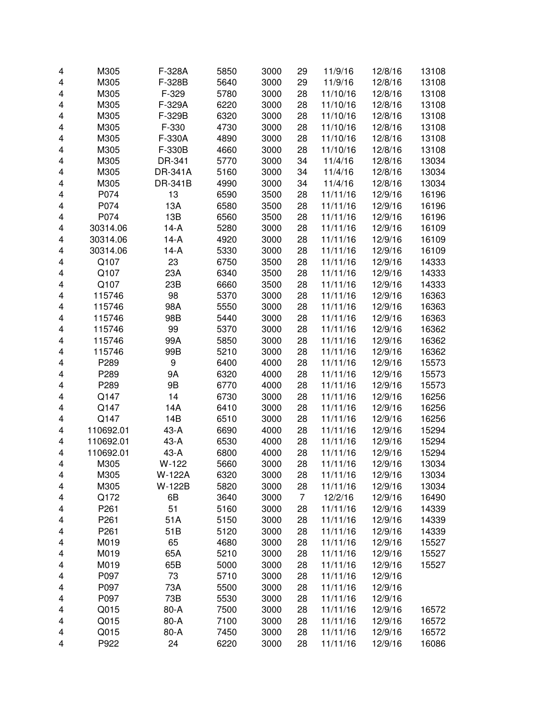| 4                       | M305         | F-328A         | 5850         | 3000         | 29 | 11/9/16              | 12/8/16            | 13108          |
|-------------------------|--------------|----------------|--------------|--------------|----|----------------------|--------------------|----------------|
| 4                       | M305         | F-328B         | 5640         | 3000         | 29 | 11/9/16              | 12/8/16            | 13108          |
| 4                       | M305         | F-329          | 5780         | 3000         | 28 | 11/10/16             | 12/8/16            | 13108          |
| 4                       | M305         | F-329A         | 6220         | 3000         | 28 | 11/10/16             | 12/8/16            | 13108          |
| 4                       | M305         | F-329B         | 6320         | 3000         | 28 | 11/10/16             | 12/8/16            | 13108          |
| 4                       | M305         | F-330          | 4730         | 3000         | 28 | 11/10/16             | 12/8/16            | 13108          |
| 4                       | M305         | F-330A         | 4890         | 3000         | 28 | 11/10/16             | 12/8/16            | 13108          |
| 4                       | M305         | F-330B         | 4660         | 3000         | 28 | 11/10/16             | 12/8/16            | 13108          |
| 4                       | M305         | DR-341         | 5770         | 3000         | 34 | 11/4/16              | 12/8/16            | 13034          |
| 4                       | M305         | <b>DR-341A</b> | 5160         | 3000         | 34 | 11/4/16              | 12/8/16            | 13034          |
| 4                       | M305         | DR-341B        | 4990         | 3000         | 34 | 11/4/16              | 12/8/16            | 13034          |
| 4                       | P074         | 13             | 6590         | 3500         | 28 | 11/11/16             | 12/9/16            | 16196          |
| 4                       | P074         | 13A            | 6580         | 3500         | 28 | 11/11/16             | 12/9/16            | 16196          |
| 4                       | P074         | 13B            | 6560         | 3500         | 28 | 11/11/16             | 12/9/16            | 16196          |
| 4                       | 30314.06     | $14-A$         | 5280         | 3000         | 28 | 11/11/16             | 12/9/16            | 16109          |
| 4                       | 30314.06     | $14-A$         | 4920         | 3000         | 28 | 11/11/16             | 12/9/16            | 16109          |
| 4                       | 30314.06     | $14-A$         | 5330         | 3000         | 28 | 11/11/16             | 12/9/16            | 16109          |
| 4                       | Q107         | 23             | 6750         | 3500         | 28 | 11/11/16             | 12/9/16            | 14333          |
| 4                       | Q107         | 23A            | 6340         | 3500         | 28 | 11/11/16             | 12/9/16            | 14333          |
| 4                       | Q107         | 23B            | 6660         | 3500         | 28 | 11/11/16             | 12/9/16            | 14333          |
| 4                       | 115746       | 98             | 5370         | 3000         | 28 | 11/11/16             | 12/9/16            | 16363          |
| 4                       | 115746       | 98A            | 5550         | 3000         | 28 | 11/11/16             | 12/9/16            | 16363          |
| 4                       | 115746       | 98B            | 5440         | 3000         | 28 | 11/11/16             | 12/9/16            | 16363          |
| 4                       | 115746       | 99             | 5370         | 3000         | 28 | 11/11/16             | 12/9/16            | 16362          |
| 4                       | 115746       | 99A            | 5850         | 3000         | 28 | 11/11/16             | 12/9/16            | 16362          |
| 4                       | 115746       | 99B            | 5210         | 3000         | 28 | 11/11/16             | 12/9/16            | 16362          |
| 4                       | P289         | 9              | 6400         | 4000         | 28 | 11/11/16             | 12/9/16            | 15573          |
| 4                       | P289         | 9Α             | 6320         | 4000         | 28 | 11/11/16             | 12/9/16            | 15573          |
| 4                       | P289         | 9B             | 6770         | 4000         | 28 | 11/11/16             | 12/9/16            | 15573          |
| 4                       | Q147         | 14             | 6730         | 3000         | 28 | 11/11/16             | 12/9/16            | 16256          |
| 4                       | Q147         | 14A            | 6410         | 3000         | 28 | 11/11/16             | 12/9/16            | 16256          |
| $\overline{\mathbf{4}}$ | Q147         | 14B            | 6510         | 3000         | 28 | 11/11/16             | 12/9/16            | 16256          |
| 4                       | 110692.01    | $43-A$         | 6690         | 4000         | 28 | 11/11/16             | 12/9/16            | 15294          |
| 4                       | 110692.01    | $43-A$         | 6530         | 4000         | 28 | 11/11/16             | 12/9/16            | 15294          |
| 4                       | 110692.01    | $43-A$         | 6800         | 4000         | 28 | 11/11/16             | 12/9/16            | 15294          |
| 4                       | M305         | $W-122$        | 5660         | 3000         | 28 | 11/11/16             | 12/9/16            | 13034          |
| 4                       | M305         | W-122A         | 6320         | 3000         | 28 | 11/11/16             | 12/9/16            | 13034          |
| 4                       | M305         | W-122B         | 5820         | 3000         | 28 | 11/11/16             | 12/9/16            | 13034          |
| 4                       | Q172         | 6B             | 3640         | 3000         | 7  | 12/2/16              | 12/9/16            | 16490          |
| 4                       | P261         | 51             | 5160         | 3000         | 28 | 11/11/16             | 12/9/16            | 14339          |
| 4                       | P261         | 51A            | 5150         | 3000         | 28 | 11/11/16             | 12/9/16            | 14339          |
| 4                       | P261         | 51B            | 5120         | 3000         | 28 | 11/11/16             | 12/9/16            | 14339          |
| 4                       | M019         | 65             | 4680         | 3000         | 28 | 11/11/16             | 12/9/16            | 15527          |
| 4                       | M019         | 65A            | 5210         | 3000         | 28 | 11/11/16             | 12/9/16            | 15527          |
|                         | M019         | 65B            | 5000         | 3000         | 28 | 11/11/16             | 12/9/16            | 15527          |
| 4                       | P097         | 73             | 5710         | 3000         | 28 | 11/11/16             | 12/9/16            |                |
| 4                       | P097         | 73A            |              | 3000         | 28 | 11/11/16             | 12/9/16            |                |
| 4                       |              |                | 5500         |              |    |                      |                    |                |
| 4                       | P097         | 73B            | 5530         | 3000         | 28 | 11/11/16             | 12/9/16            |                |
| 4                       | Q015<br>Q015 | 80-A<br>80-A   | 7500<br>7100 | 3000         | 28 | 11/11/16             | 12/9/16            | 16572          |
| 4                       | Q015         | 80-A           | 7450         | 3000<br>3000 | 28 | 11/11/16<br>11/11/16 | 12/9/16<br>12/9/16 | 16572<br>16572 |
| 4                       |              |                |              |              | 28 |                      |                    |                |
| 4                       | P922         | 24             | 6220         | 3000         | 28 | 11/11/16             | 12/9/16            | 16086          |